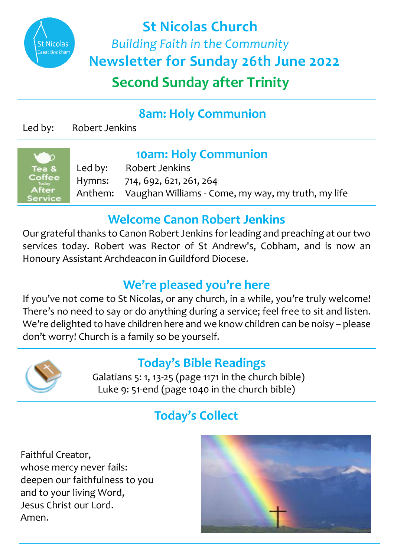

**Second Sunday after Trinity St Nicolas Church**  *Building Faith in the Community*  **Newsletter for Sunday 26th June 2022**

## **8am: Holy Communion**

Led by: Robert Jenkins

| Tea &          |
|----------------|
| Coffee         |
| Todav<br>After |
| ervice         |
|                |

**10am: Holy Communion**<br>Led by: Robert Jenkins Robert Jenkins Hymns: 714, 692, 621, 261, 264<br>Anthem: Vaughan Williams - Co Vaughan Williams - Come, my way, my truth, my life

#### **Welcome Canon Robert Jenkins**

Our grateful thanks to Canon Robert Jenkins for leading and preaching at our two services today. Robert was Rector of St Andrew's, Cobham, and is now an Honoury Assistant Archdeacon in Guildford Diocese.

## **We're pleased you're here**

If you've not come to St Nicolas, or any church, in a while, you're truly welcome! There's no need to say or do anything during a service; feel free to sit and listen. We're delighted to have children here and we know children can be noisy – please don't worry! Church is a family so be yourself.



#### **Today's Bible Readings**

 Galatians 5: 1, 13-25 (page 1171 in the church bible) Luke 9: 51-end (page 1040 in the church bible)

# **Today's Collect**

Faithful Creator, whose mercy never fails: deepen our faithfulness to you and to your living Word, Jesus Christ our Lord. Amen.

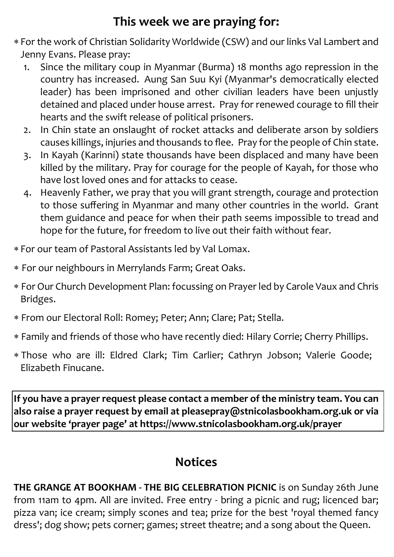### **This week we are praying for:**

- For the work of Christian Solidarity Worldwide (CSW) and our links Val Lambert and Jenny Evans. Please pray:
	- 1. Since the military coup in Myanmar (Burma) 18 months ago repression in the country has increased. Aung San Suu Kyi (Myanmar's democratically elected leader) has been imprisoned and other civilian leaders have been unjustly detained and placed under house arrest. Pray for renewed courage to fill their hearts and the swift release of political prisoners.
	- 2. In Chin state an onslaught of rocket attacks and deliberate arson by soldiers causes killings, injuries and thousands to flee. Pray for the people of Chin state.
	- 3. In Kayah (Karinni) state thousands have been displaced and many have been killed by the military. Pray for courage for the people of Kayah, for those who have lost loved ones and for attacks to cease.
	- 4. Heavenly Father, we pray that you will grant strength, courage and protection to those suffering in Myanmar and many other countries in the world. Grant them guidance and peace for when their path seems impossible to tread and hope for the future, for freedom to live out their faith without fear.
- For our team of Pastoral Assistants led by Val Lomax.
- For our neighbours in Merrylands Farm; Great Oaks.
- For Our Church Development Plan: focussing on Prayer led by Carole Vaux and Chris Bridges.
- From our Electoral Roll: Romey; Peter; Ann; Clare; Pat; Stella.
- Family and friends of those who have recently died: Hilary Corrie; Cherry Phillips.
- Those who are ill: Eldred Clark; Tim Carlier; Cathryn Jobson; Valerie Goode; Elizabeth Finucane.

**If you have a prayer request please contact a member of the ministry team. You can also raise a prayer request by email at pleasepray@stnicolasbookham.org.uk or via our website 'prayer page' at https://www.stnicolasbookham.org.uk/prayer**

#### **Notices**

**THE GRANGE AT BOOKHAM - THE BIG CELEBRATION PICNIC** is on Sunday 26th June from 11am to 4pm. All are invited. Free entry - bring a picnic and rug; licenced bar; pizza van; ice cream; simply scones and tea; prize for the best 'royal themed fancy dress'; dog show; pets corner; games; street theatre; and a song about the Queen.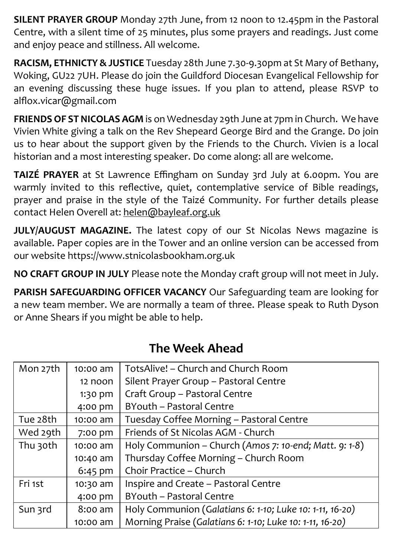**SILENT PRAYER GROUP** Monday 27th June, from 12 noon to 12.45pm in the Pastoral Centre, with a silent time of 25 minutes, plus some prayers and readings. Just come and enjoy peace and stillness. All welcome.

**RACISM, ETHNICTY & JUSTICE** Tuesday 28th June 7.30-9.30pm at St Mary of Bethany, Woking, GU22 7UH. Please do join the Guildford Diocesan Evangelical Fellowship for an evening discussing these huge issues. If you plan to attend, please RSVP to alflox.vicar@gmail.com

**FRIENDS OF ST NICOLAS AGM** is on Wednesday 29th June at 7pm in Church. We have Vivien White giving a talk on the Rev Shepeard George Bird and the Grange. Do join us to hear about the support given by the Friends to the Church. Vivien is a local historian and a most interesting speaker. Do come along: all are welcome.

**TAIZÉ PRAYER** at St Lawrence Effingham on Sunday 3rd July at 6.00pm. You are warmly invited to this reflective, quiet, contemplative service of Bible readings, prayer and praise in the style of the Taizé Community. For further details please contact Helen Overell at: [helen@bayleaf.org.uk](mailto:helen@bayleaf.org.uk)

**JULY/AUGUST MAGAZINE.** The latest copy of our St Nicolas News magazine is available. Paper copies are in the Tower and an online version can be accessed from our website [https://www.stnicolasbookham.org.uk](https://www.stnicolasbookham.org.uk/)

**NO CRAFT GROUP IN JULY** Please note the Monday craft group will not meet in July.

**PARISH SAFEGUARDING OFFICER VACANCY** Our Safeguarding team are looking for a new team member. We are normally a team of three. Please speak to Ruth Dyson or Anne Shears if you might be able to help.

| Mon 27th | 10:00 am  | TotsAlive! - Church and Church Room                      |
|----------|-----------|----------------------------------------------------------|
|          | 12 noon   | Silent Prayer Group - Pastoral Centre                    |
|          | 1:30 pm   | Craft Group - Pastoral Centre                            |
|          | 4:00 pm   | BYouth - Pastoral Centre                                 |
| Tue 28th | 10:00 am  | Tuesday Coffee Morning - Pastoral Centre                 |
| Wed 29th | 7:00 pm   | Friends of St Nicolas AGM - Church                       |
| Thu 30th | 10:00 am  | Holy Communion - Church (Amos 7: 10-end; Matt. 9: 1-8)   |
|          | 10:40 am  | Thursday Coffee Morning - Church Room                    |
|          | $6:45$ pm | Choir Practice - Church                                  |
| Fri 1st  | 10:30 am  | Inspire and Create - Pastoral Centre                     |
|          | 4:00 pm   | BYouth - Pastoral Centre                                 |
| Sun 3rd  | 8:00 am   | Holy Communion (Galatians 6: 1-10; Luke 10: 1-11, 16-20) |
|          | 10:00 am  | Morning Praise (Galatians 6: 1-10; Luke 10: 1-11, 16-20) |

#### **The Week Ahead**